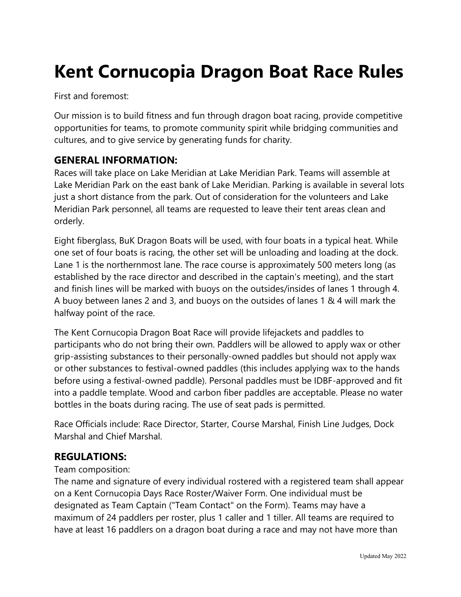# **Kent Cornucopia Dragon Boat Race Rules**

First and foremost:

Our mission is to build fitness and fun through dragon boat racing, provide competitive opportunities for teams, to promote community spirit while bridging communities and cultures, and to give service by generating funds for charity.

# **GENERAL INFORMATION:**

Races will take place on Lake Meridian at Lake Meridian Park. Teams will assemble at Lake Meridian Park on the east bank of Lake Meridian. Parking is available in several lots just a short distance from the park. Out of consideration for the volunteers and Lake Meridian Park personnel, all teams are requested to leave their tent areas clean and orderly.

Eight fiberglass, BuK Dragon Boats will be used, with four boats in a typical heat. While one set of four boats is racing, the other set will be unloading and loading at the dock. Lane 1 is the northernmost lane. The race course is approximately 500 meters long (as established by the race director and described in the captain's meeting), and the start and finish lines will be marked with buoys on the outsides/insides of lanes 1 through 4. A buoy between lanes 2 and 3, and buoys on the outsides of lanes 1 & 4 will mark the halfway point of the race.

The Kent Cornucopia Dragon Boat Race will provide lifejackets and paddles to participants who do not bring their own. Paddlers will be allowed to apply wax or other grip-assisting substances to their personally-owned paddles but should not apply wax or other substances to festival-owned paddles (this includes applying wax to the hands before using a festival-owned paddle). Personal paddles must be IDBF-approved and fit into a paddle template. Wood and carbon fiber paddles are acceptable. Please no water bottles in the boats during racing. The use of seat pads is permitted.

Race Officials include: Race Director, Starter, Course Marshal, Finish Line Judges, Dock Marshal and Chief Marshal.

# **REGULATIONS:**

#### Team composition:

The name and signature of every individual rostered with a registered team shall appear on a Kent Cornucopia Days Race Roster/Waiver Form. One individual must be designated as Team Captain ("Team Contact" on the Form). Teams may have a maximum of 24 paddlers per roster, plus 1 caller and 1 tiller. All teams are required to have at least 16 paddlers on a dragon boat during a race and may not have more than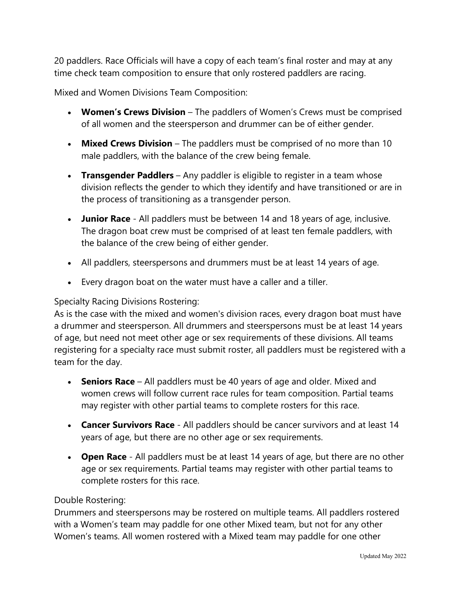20 paddlers. Race Officials will have a copy of each team's final roster and may at any time check team composition to ensure that only rostered paddlers are racing.

Mixed and Women Divisions Team Composition:

- **Women's Crews Division** The paddlers of Women's Crews must be comprised of all women and the steersperson and drummer can be of either gender.
- **Mixed Crews Division** The paddlers must be comprised of no more than 10 male paddlers, with the balance of the crew being female.
- **Transgender Paddlers** Any paddler is eligible to register in a team whose division reflects the gender to which they identify and have transitioned or are in the process of transitioning as a transgender person.
- **Junior Race** All paddlers must be between 14 and 18 years of age, inclusive. The dragon boat crew must be comprised of at least ten female paddlers, with the balance of the crew being of either gender.
- All paddlers, steerspersons and drummers must be at least 14 years of age.
- Every dragon boat on the water must have a caller and a tiller.

#### Specialty Racing Divisions Rostering:

As is the case with the mixed and women's division races, every dragon boat must have a drummer and steersperson. All drummers and steerspersons must be at least 14 years of age, but need not meet other age or sex requirements of these divisions. All teams registering for a specialty race must submit roster, all paddlers must be registered with a team for the day.

- **Seniors Race**  All paddlers must be 40 years of age and older. Mixed and women crews will follow current race rules for team composition. Partial teams may register with other partial teams to complete rosters for this race.
- **Cancer Survivors Race**  All paddlers should be cancer survivors and at least 14 years of age, but there are no other age or sex requirements.
- **Open Race** All paddlers must be at least 14 years of age, but there are no other age or sex requirements. Partial teams may register with other partial teams to complete rosters for this race.

#### Double Rostering:

Drummers and steerspersons may be rostered on multiple teams. All paddlers rostered with a Women's team may paddle for one other Mixed team, but not for any other Women's teams. All women rostered with a Mixed team may paddle for one other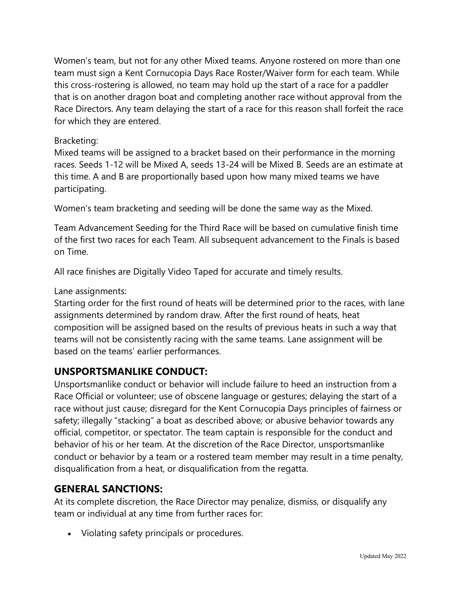Women's team, but not for any other Mixed teams. Anyone rostered on more than one team must sign a Kent Cornucopia Days Race Roster/Waiver form for each team. While this cross-rostering is allowed, no team may hold up the start of a race for a paddler that is on another dragon boat and completing another race without approval from the Race Directors. Any team delaying the start of a race for this reason shall forfeit the race for which they are entered.

### Bracketing:

Mixed teams will be assigned to a bracket based on their performance in the morning races. Seeds 1-12 will be Mixed A, seeds 13-24 will be Mixed B. Seeds are an estimate at this time. A and B are proportionally based upon how many mixed teams we have participating.

Women's team bracketing and seeding will be done the same way as the Mixed.

Team Advancement Seeding for the Third Race will be based on cumulative finish time of the first two races for each Team. All subsequent advancement to the Finals is based on Time.

All race finishes are Digitally Video Taped for accurate and timely results.

#### Lane assignments:

Starting order for the first round of heats will be determined prior to the races, with lane assignments determined by random draw. After the first round of heats, heat composition will be assigned based on the results of previous heats in such a way that teams will not be consistently racing with the same teams. Lane assignment will be based on the teams' earlier performances.

# **UNSPORTSMANLIKE CONDUCT:**

Unsportsmanlike conduct or behavior will include failure to heed an instruction from a Race Official or volunteer; use of obscene language or gestures; delaying the start of a race without just cause; disregard for the Kent Cornucopia Days principles of fairness or safety; illegally "stacking" a boat as described above; or abusive behavior towards any official, competitor, or spectator. The team captain is responsible for the conduct and behavior of his or her team. At the discretion of the Race Director, unsportsmanlike conduct or behavior by a team or a rostered team member may result in a time penalty, disqualification from a heat, or disqualification from the regatta.

# **GENERAL SANCTIONS:**

At its complete discretion, the Race Director may penalize, dismiss, or disqualify any team or individual at any time from further races for:

• Violating safety principals or procedures.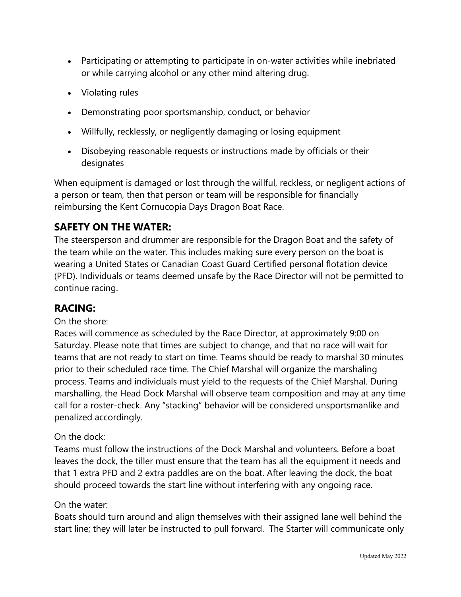- Participating or attempting to participate in on-water activities while inebriated or while carrying alcohol or any other mind altering drug.
- Violating rules
- Demonstrating poor sportsmanship, conduct, or behavior
- Willfully, recklessly, or negligently damaging or losing equipment
- Disobeying reasonable requests or instructions made by officials or their designates

When equipment is damaged or lost through the willful, reckless, or negligent actions of a person or team, then that person or team will be responsible for financially reimbursing the Kent Cornucopia Days Dragon Boat Race.

# **SAFETY ON THE WATER:**

The steersperson and drummer are responsible for the Dragon Boat and the safety of the team while on the water. This includes making sure every person on the boat is wearing a United States or Canadian Coast Guard Certified personal flotation device (PFD). Individuals or teams deemed unsafe by the Race Director will not be permitted to continue racing.

# **RACING:**

#### On the shore:

Races will commence as scheduled by the Race Director, at approximately 9:00 on Saturday. Please note that times are subject to change, and that no race will wait for teams that are not ready to start on time. Teams should be ready to marshal 30 minutes prior to their scheduled race time. The Chief Marshal will organize the marshaling process. Teams and individuals must yield to the requests of the Chief Marshal. During marshalling, the Head Dock Marshal will observe team composition and may at any time call for a roster-check. Any "stacking" behavior will be considered unsportsmanlike and penalized accordingly.

# On the dock:

Teams must follow the instructions of the Dock Marshal and volunteers. Before a boat leaves the dock, the tiller must ensure that the team has all the equipment it needs and that 1 extra PFD and 2 extra paddles are on the boat. After leaving the dock, the boat should proceed towards the start line without interfering with any ongoing race.

#### On the water:

Boats should turn around and align themselves with their assigned lane well behind the start line; they will later be instructed to pull forward. The Starter will communicate only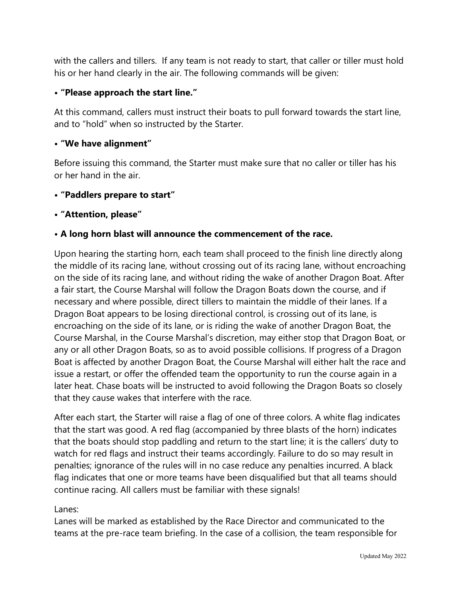with the callers and tillers. If any team is not ready to start, that caller or tiller must hold his or her hand clearly in the air. The following commands will be given:

# **• "Please approach the start line."**

At this command, callers must instruct their boats to pull forward towards the start line, and to "hold" when so instructed by the Starter.

# **• "We have alignment"**

Before issuing this command, the Starter must make sure that no caller or tiller has his or her hand in the air.

### **• "Paddlers prepare to start"**

### **• "Attention, please"**

# **• A long horn blast will announce the commencement of the race.**

Upon hearing the starting horn, each team shall proceed to the finish line directly along the middle of its racing lane, without crossing out of its racing lane, without encroaching on the side of its racing lane, and without riding the wake of another Dragon Boat. After a fair start, the Course Marshal will follow the Dragon Boats down the course, and if necessary and where possible, direct tillers to maintain the middle of their lanes. If a Dragon Boat appears to be losing directional control, is crossing out of its lane, is encroaching on the side of its lane, or is riding the wake of another Dragon Boat, the Course Marshal, in the Course Marshal's discretion, may either stop that Dragon Boat, or any or all other Dragon Boats, so as to avoid possible collisions. If progress of a Dragon Boat is affected by another Dragon Boat, the Course Marshal will either halt the race and issue a restart, or offer the offended team the opportunity to run the course again in a later heat. Chase boats will be instructed to avoid following the Dragon Boats so closely that they cause wakes that interfere with the race.

After each start, the Starter will raise a flag of one of three colors. A white flag indicates that the start was good. A red flag (accompanied by three blasts of the horn) indicates that the boats should stop paddling and return to the start line; it is the callers' duty to watch for red flags and instruct their teams accordingly. Failure to do so may result in penalties; ignorance of the rules will in no case reduce any penalties incurred. A black flag indicates that one or more teams have been disqualified but that all teams should continue racing. All callers must be familiar with these signals!

#### Lanes:

Lanes will be marked as established by the Race Director and communicated to the teams at the pre-race team briefing. In the case of a collision, the team responsible for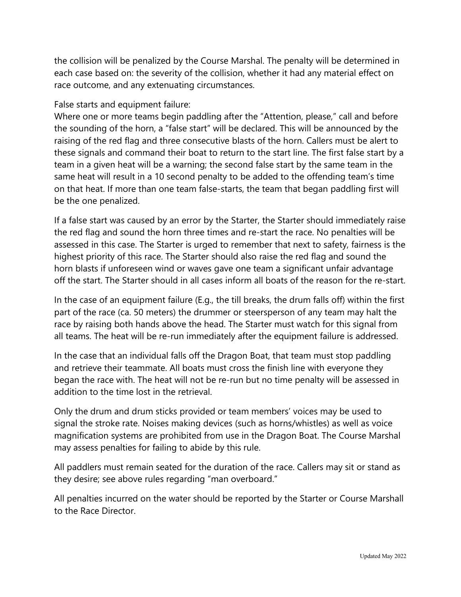the collision will be penalized by the Course Marshal. The penalty will be determined in each case based on: the severity of the collision, whether it had any material effect on race outcome, and any extenuating circumstances.

#### False starts and equipment failure:

Where one or more teams begin paddling after the "Attention, please," call and before the sounding of the horn, a "false start" will be declared. This will be announced by the raising of the red flag and three consecutive blasts of the horn. Callers must be alert to these signals and command their boat to return to the start line. The first false start by a team in a given heat will be a warning; the second false start by the same team in the same heat will result in a 10 second penalty to be added to the offending team's time on that heat. If more than one team false-starts, the team that began paddling first will be the one penalized.

If a false start was caused by an error by the Starter, the Starter should immediately raise the red flag and sound the horn three times and re-start the race. No penalties will be assessed in this case. The Starter is urged to remember that next to safety, fairness is the highest priority of this race. The Starter should also raise the red flag and sound the horn blasts if unforeseen wind or waves gave one team a significant unfair advantage off the start. The Starter should in all cases inform all boats of the reason for the re-start.

In the case of an equipment failure (E.g., the till breaks, the drum falls off) within the first part of the race (ca. 50 meters) the drummer or steersperson of any team may halt the race by raising both hands above the head. The Starter must watch for this signal from all teams. The heat will be re-run immediately after the equipment failure is addressed.

In the case that an individual falls off the Dragon Boat, that team must stop paddling and retrieve their teammate. All boats must cross the finish line with everyone they began the race with. The heat will not be re-run but no time penalty will be assessed in addition to the time lost in the retrieval.

Only the drum and drum sticks provided or team members' voices may be used to signal the stroke rate. Noises making devices (such as horns/whistles) as well as voice magnification systems are prohibited from use in the Dragon Boat. The Course Marshal may assess penalties for failing to abide by this rule.

All paddlers must remain seated for the duration of the race. Callers may sit or stand as they desire; see above rules regarding "man overboard."

All penalties incurred on the water should be reported by the Starter or Course Marshall to the Race Director.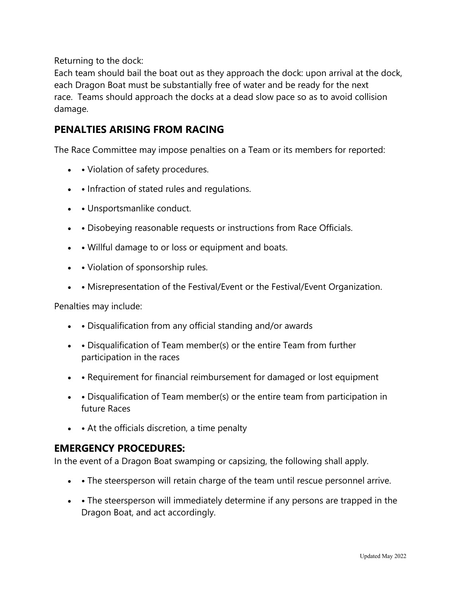Returning to the dock:

Each team should bail the boat out as they approach the dock: upon arrival at the dock, each Dragon Boat must be substantially free of water and be ready for the next race. Teams should approach the docks at a dead slow pace so as to avoid collision damage.

# **PENALTIES ARISING FROM RACING**

The Race Committee may impose penalties on a Team or its members for reported:

- • Violation of safety procedures.
- • Infraction of stated rules and regulations.
- **•** Unsportsmanlike conduct.
- **•** Disobeying reasonable requests or instructions from Race Officials.
- • Willful damage to or loss or equipment and boats.
- • Violation of sponsorship rules.
- **•** Misrepresentation of the Festival/Event or the Festival/Event Organization.

Penalties may include:

- **•** Disqualification from any official standing and/or awards
- **•** Disqualification of Team member(s) or the entire Team from further participation in the races
- • Requirement for financial reimbursement for damaged or lost equipment
- • Disqualification of Team member(s) or the entire team from participation in future Races
- • At the officials discretion, a time penalty

# **EMERGENCY PROCEDURES:**

In the event of a Dragon Boat swamping or capsizing, the following shall apply.

- • The steersperson will retain charge of the team until rescue personnel arrive.
- **•** The steersperson will immediately determine if any persons are trapped in the Dragon Boat, and act accordingly.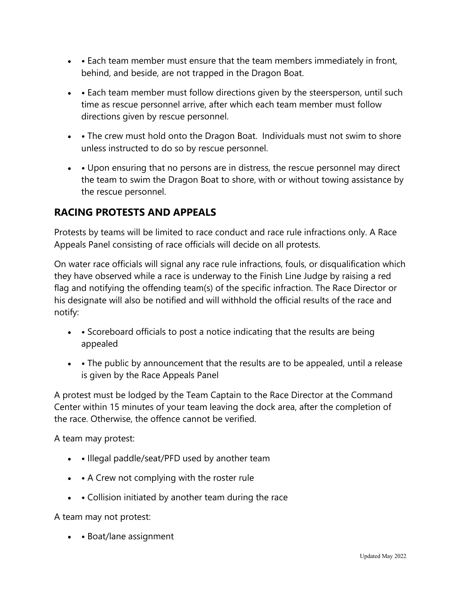- • Each team member must ensure that the team members immediately in front, behind, and beside, are not trapped in the Dragon Boat.
- **•** Each team member must follow directions given by the steersperson, until such time as rescue personnel arrive, after which each team member must follow directions given by rescue personnel.
- • The crew must hold onto the Dragon Boat. Individuals must not swim to shore unless instructed to do so by rescue personnel.
- • Upon ensuring that no persons are in distress, the rescue personnel may direct the team to swim the Dragon Boat to shore, with or without towing assistance by the rescue personnel.

# **RACING PROTESTS AND APPEALS**

Protests by teams will be limited to race conduct and race rule infractions only. A Race Appeals Panel consisting of race officials will decide on all protests.

On water race officials will signal any race rule infractions, fouls, or disqualification which they have observed while a race is underway to the Finish Line Judge by raising a red flag and notifying the offending team(s) of the specific infraction. The Race Director or his designate will also be notified and will withhold the official results of the race and notify:

- • Scoreboard officials to post a notice indicating that the results are being appealed
- • The public by announcement that the results are to be appealed, until a release is given by the Race Appeals Panel

A protest must be lodged by the Team Captain to the Race Director at the Command Center within 15 minutes of your team leaving the dock area, after the completion of the race. Otherwise, the offence cannot be verified.

A team may protest:

- • Illegal paddle/seat/PFD used by another team
- • A Crew not complying with the roster rule
- **•** Collision initiated by another team during the race

A team may not protest:

• **•** Boat/lane assignment